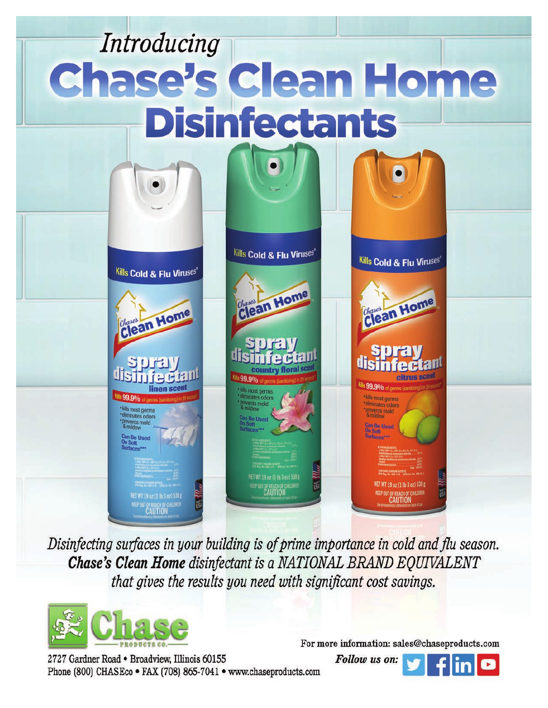# Introducing Chase's Clean Home **Disinfectants**



Disinfecting surfaces in your building is of prime importance in cold and flu season. Chase's Clean Home disinfectant is a NATIONAL BRAND EQUIVALENT that gives the results you need with significant cost savings.



2727 Gardner Road . Broadview, Illinois 60155 Phone (800) CHASEco . FAX (708) 865-7041 . www.chaseproducts.com

For more information: sales@chaseproducts.com

Follow us on: